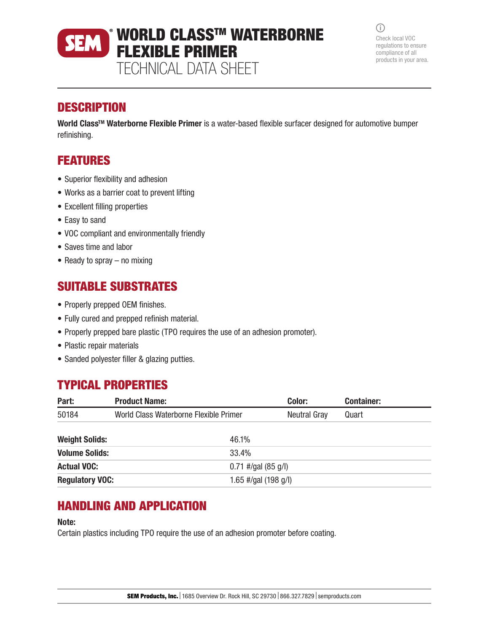# WORLD CLASS™ WATERBORNE FLEXIBLE PRIMER TECHNICAL DATA SHEET

 $\bigcirc$ Check local VOC regulations to ensure compliance of all products in your area.

### **DESCRIPTION**

World Class<sup>™</sup> Waterborne Flexible Primer is a water-based flexible surfacer designed for automotive bumper refinishing.

## FEATURES

- Superior flexibility and adhesion
- Works as a barrier coat to prevent lifting
- Excellent filling properties
- Easy to sand
- VOC compliant and environmentally friendly
- Saves time and labor
- Ready to spray no mixing

## SUITABLE SUBSTRATES

- Properly prepped OEM finishes.
- Fully cured and prepped refinish material.
- Properly prepped bare plastic (TPO requires the use of an adhesion promoter).
- Plastic repair materials
- Sanded polyester filler & glazing putties.

## TYPICAL PROPERTIES

| Part:                  | <b>Product Name:</b>                   |                        | Color:              | <b>Container:</b> |
|------------------------|----------------------------------------|------------------------|---------------------|-------------------|
| 50184                  | World Class Waterborne Flexible Primer |                        | <b>Neutral Gray</b> | Quart             |
| <b>Weight Solids:</b>  |                                        | 46.1%                  |                     |                   |
| <b>Volume Solids:</b>  |                                        | 33.4%                  |                     |                   |
| <b>Actual VOC:</b>     |                                        | $0.71$ #/gal (85 g/l)  |                     |                   |
| <b>Regulatory VOC:</b> |                                        | 1.65 #/gal $(198 g/l)$ |                     |                   |

### HANDLING AND APPLICATION

#### Note:

Certain plastics including TPO require the use of an adhesion promoter before coating.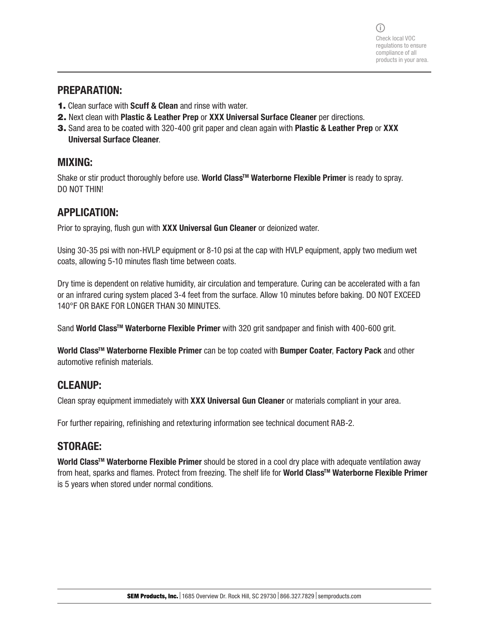#### PREPARATION:

- 1. Clean surface with Scuff & Clean and rinse with water.
- 2. Next clean with Plastic & Leather Prep or XXX Universal Surface Cleaner per directions.
- 3. Sand area to be coated with 320-400 grit paper and clean again with Plastic & Leather Prep or XXX Universal Surface Cleaner.

### MIXING:

Shake or stir product thoroughly before use. World Class™ Waterborne Flexible Primer is ready to spray. DO NOT THIN!

### APPLICATION:

Prior to spraying, flush gun with XXX Universal Gun Cleaner or deionized water.

Using 30-35 psi with non-HVLP equipment or 8-10 psi at the cap with HVLP equipment, apply two medium wet coats, allowing 5-10 minutes flash time between coats.

Dry time is dependent on relative humidity, air circulation and temperature. Curing can be accelerated with a fan or an infrared curing system placed 3-4 feet from the surface. Allow 10 minutes before baking. DO NOT EXCEED 140°F OR BAKE FOR LONGER THAN 30 MINUTES.

Sand World Class<sup>™</sup> Waterborne Flexible Primer with 320 grit sandpaper and finish with 400-600 grit.

World Class<sup>™</sup> Waterborne Flexible Primer can be top coated with Bumper Coater, Factory Pack and other automotive refinish materials.

### CLEANUP:

Clean spray equipment immediately with XXX Universal Gun Cleaner or materials compliant in your area.

For further repairing, refinishing and retexturing information see technical document RAB-2.

### STORAGE:

World Class<sup>™</sup> Waterborne Flexible Primer should be stored in a cool dry place with adequate ventilation away from heat, sparks and flames. Protect from freezing. The shelf life for World Class™ Waterborne Flexible Primer is 5 years when stored under normal conditions.